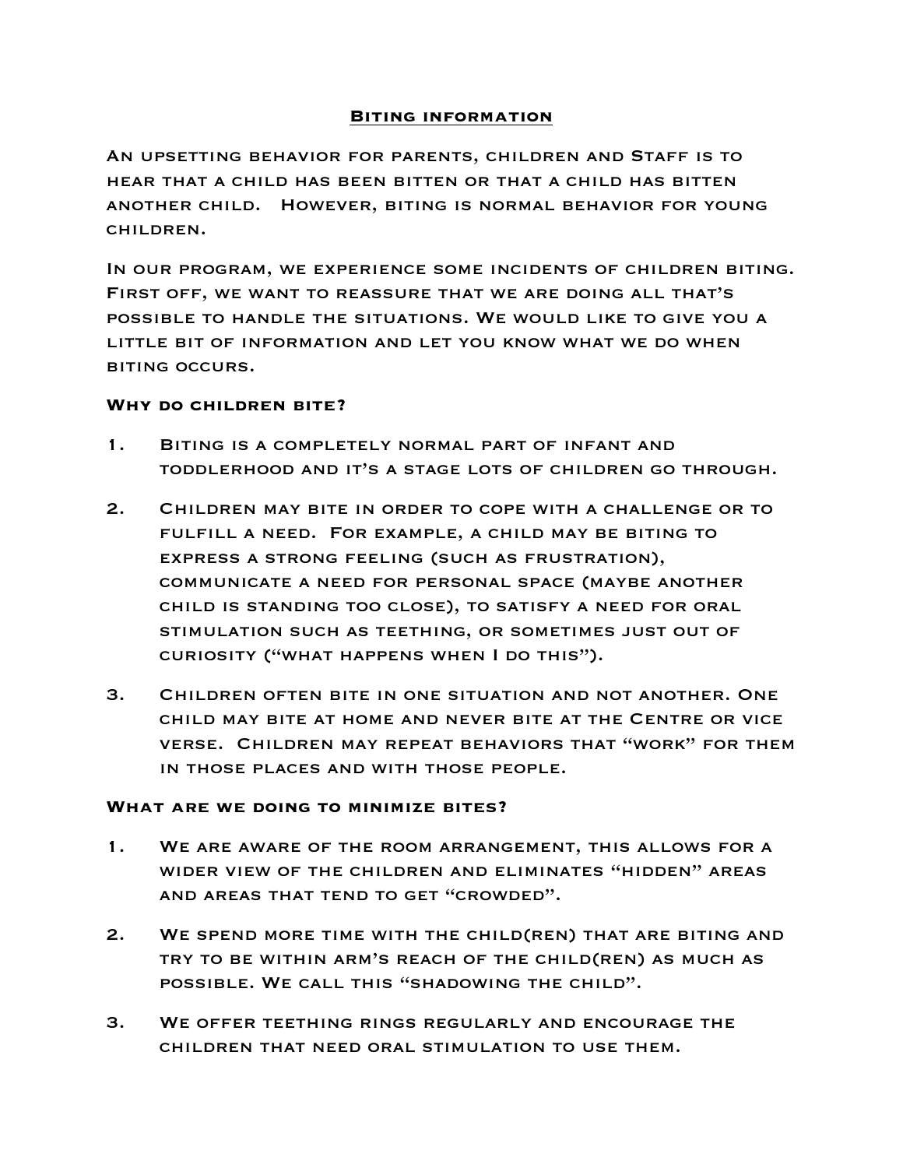## **Biting information**

An upsetting behavior for parents, children and Staff is to hear that a child has been bitten or that a child has bitten another child. However, biting is normal behavior for young children.

In our program, we experience some incidents of children biting. First off, we want to reassure that we are doing all that's possible to handle the situations. We would like to give you a little bit of information and let you know what we do when biting occurs.

## **Why do children bite?**

- 1. Biting is a completely normal part of infant and toddlerhood and it's a stage lots of children go through.
- 2. Children may bite in order to cope with a challenge or to fulfill a need. For example, a child may be biting to express a strong feeling (such as frustration), communicate a need for personal space (maybe another child is standing too close), to satisfy a need for oral stimulation such as teething, or sometimes just out of curiosity ("what happens when I do this").
- 3. Children often bite in one situation and not another. One child may bite at home and never bite at the Centre or vice verse. Children may repeat behaviors that "work" for them in those places and with those people.

## **What are we doing to minimize bites?**

- 1. We are aware of the room arrangement, this allows for a wider view of the children and eliminates "hidden" areas and areas that tend to get "crowded".
- 2. We spend more time with the child(ren) that are biting and try to be within arm's reach of the child(ren) as much as possible. We call this "shadowing the child".
- 3. We offer teething rings regularly and encourage the children that need oral stimulation to use them.